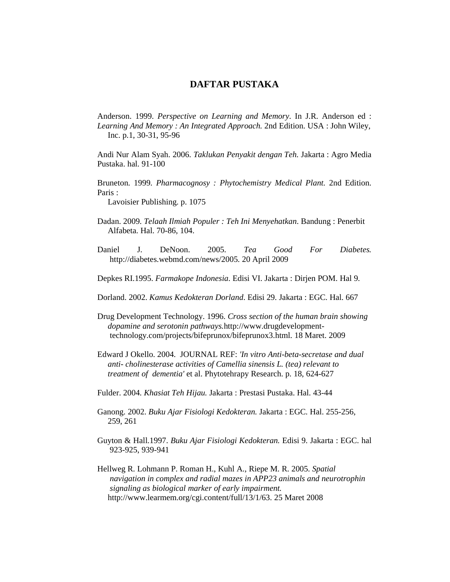## **DAFTAR PUSTAKA**

Anderson. 1999. *Perspective on Learning and Memory*. In J.R. Anderson ed : *Learning And Memory : An Integrated Approach.* 2nd Edition. USA : John Wiley, Inc. p.1, 30-31, 95-96

Andi Nur Alam Syah. 2006. *Taklukan Penyakit dengan Teh.* Jakarta : Agro Media Pustaka. hal. 91-100

Bruneton. 1999. *Pharmacognosy : Phytochemistry Medical Plant.* 2nd Edition. Paris :

Lavoisier Publishing. p. 1075

- Dadan. 2009. *Telaah Ilmiah Populer : Teh Ini Menyehatkan*. Bandung : Penerbit Alfabeta. Hal. 70-86, 104.
- Daniel J. DeNoon. 2005. *Tea Good For Diabetes.* http://diabetes.webmd.com/news/2005. 20 April 2009
- Depkes RI.1995. *Farmakope Indonesia*. Edisi VI. Jakarta : Dirjen POM. Hal 9.
- Dorland. 2002. *Kamus Kedokteran Dorland*. Edisi 29. Jakarta : EGC. Hal. 667
- Drug Development Technology. 1996. *Cross section of the human brain showing dopamine and serotonin pathways.*http://www.drugdevelopment technology.com/projects/bifeprunox/bifeprunox3.html. 18 Maret. 2009
- Edward J Okello. 2004. JOURNAL REF: *'In vitro Anti-beta-secretase and dual anti- cholinesterase activities of Camellia sinensis L. (tea) relevant to treatment of dementia'* et al. Phytotehrapy Research. p. 18, 624-627
- Fulder. 2004. *Khasiat Teh Hijau.* Jakarta : Prestasi Pustaka. Hal. 43-44
- Ganong. 2002. *Buku Ajar Fisiologi Kedokteran.* Jakarta : EGC. Hal. 255-256, 259, 261
- Guyton & Hall.1997. *Buku Ajar Fisiologi Kedokteran.* Edisi 9. Jakarta : EGC. hal 923-925, 939-941
- Hellweg R. Lohmann P. Roman H., Kuhl A., Riepe M. R. 2005. *Spatial navigation in complex and radial mazes in APP23 animals and neurotrophin signaling as biological marker of early impairment.* http://www.learmem.org/cgi.content/full/13/1/63. 25 Maret 2008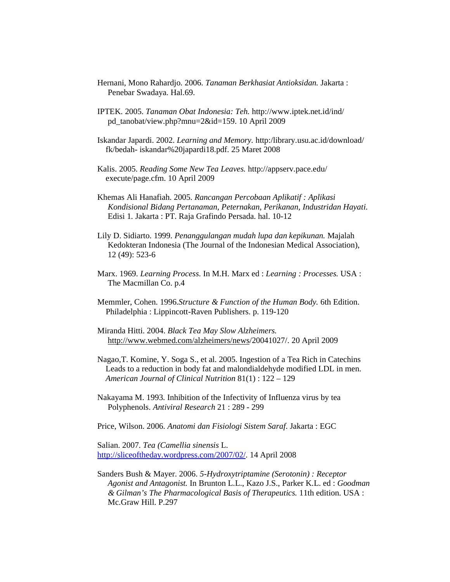- Hernani, Mono Rahardjo. 2006. *Tanaman Berkhasiat Antioksidan.* Jakarta : Penebar Swadaya. Hal.69.
- IPTEK. 2005. *Tanaman Obat Indonesia: Teh.* http://www.iptek.net.id/ind/ pd\_tanobat/view.php?mnu=2&id=159. 10 April 2009
- Iskandar Japardi. 2002. *Learning and Memory.* http:/library.usu.ac.id/download/ fk/bedah- iskandar%20japardi18.pdf. 25 Maret 2008
- Kalis. 2005. *Reading Some New Tea Leaves.* http://appserv.pace.edu/ execute/page.cfm. 10 April 2009
- Khemas Ali Hanafiah. 2005. *Rancangan Percobaan Aplikatif : Aplikasi Kondisional Bidang Pertanaman, Peternakan, Perikanan, Industridan Hayati*. Edisi 1. Jakarta : PT. Raja Grafindo Persada. hal. 10-12
- Lily D. Sidiarto. 1999. *Penanggulangan mudah lupa dan kepikunan.* Majalah Kedokteran Indonesia (The Journal of the Indonesian Medical Association), 12 (49): 523-6
- Marx. 1969. *Learning Process*. In M.H. Marx ed : *Learning : Processes.* USA : The Macmillan Co. p.4
- Memmler, Cohen. 1996.*Structure & Function of the Human Body.* 6th Edition. Philadelphia : Lippincott-Raven Publishers. p. 119-120
- Miranda Hitti. 2004. *Black Tea May Slow Alzheimers.* http://www.webmed.com/alzheimers/news/20041027/. 20 April 2009
- Nagao,T. Komine, Y. Soga S., et al. 2005. Ingestion of a Tea Rich in Catechins Leads to a reduction in body fat and malondialdehyde modified LDL in men. *American Journal of Clinical Nutrition* 81(1) : 122 – 129
- Nakayama M. 1993. Inhibition of the Infectivity of Influenza virus by tea Polyphenols. *Antiviral Research* 21 : 289 - 299
- Price, Wilson. 2006. *Anatomi dan Fisiologi Sistem Saraf*. Jakarta : EGC

Salian. 2007. *Tea (Camellia sinensis* L. http://sliceoftheday.wordpress.com/2007/02/. 14 April 2008

Sanders Bush & Mayer. 2006. *5-Hydroxytriptamine (Serotonin) : Receptor Agonist and Antagonist.* In Brunton L.L., Kazo J.S., Parker K.L. ed : *Goodman & Gilman's The Pharmacological Basis of Therapeutics.* 11th edition. USA : Mc.Graw Hill. P.297